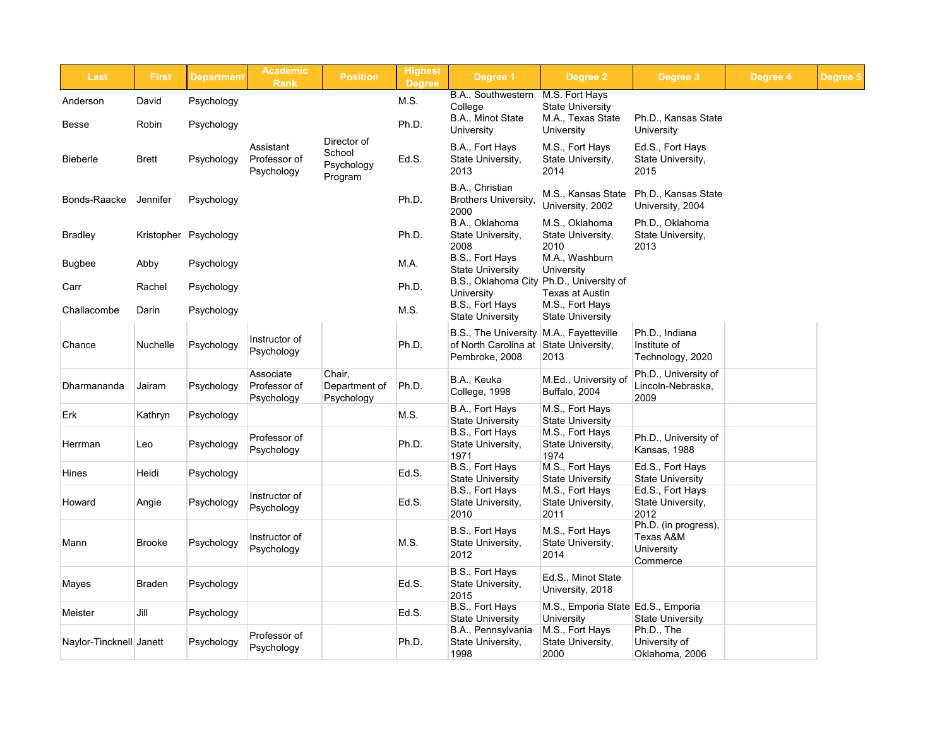|  | Degree 4 | Degree 5 |
|--|----------|----------|
|--|----------|----------|



| <b>Last</b>             | <b>First</b>    | <b>Department</b>     | <b>Academic</b><br><b>Rank</b>          | <b>Position</b>                                | <b>Highest</b><br><b>Degree</b> | Degree 1                                                              | Degree 2                                                   | Degree 3                                                           |
|-------------------------|-----------------|-----------------------|-----------------------------------------|------------------------------------------------|---------------------------------|-----------------------------------------------------------------------|------------------------------------------------------------|--------------------------------------------------------------------|
| Anderson                | David           | Psychology            |                                         |                                                | M.S.                            | B.A., Southwestern                                                    | M.S. Fort Hays                                             |                                                                    |
| <b>Besse</b>            | Robin           | Psychology            |                                         |                                                | Ph.D.                           | College<br>B.A., Minot State<br><b>University</b>                     | <b>State University</b><br>M.A., Texas State<br>University | Ph.D., Kansas State<br>University                                  |
| <b>Bieberle</b>         | <b>Brett</b>    | Psychology            | Assistant<br>Professor of<br>Psychology | Director of<br>School<br>Psychology<br>Program | Ed.S.                           | B.A., Fort Hays<br>State University,<br>2013                          | M.S., Fort Hays<br>State University,<br>2014               | Ed.S., Fort Hays<br>State University,<br>2015                      |
| Bonds-Raacke            | Jennifer        | Psychology            |                                         |                                                | Ph.D.                           | B.A., Christian<br><b>Brothers University,</b><br>2000                | M.S., Kansas State<br>University, 2002                     | Ph.D., Kansas State<br>University, 2004                            |
| <b>Bradley</b>          |                 | Kristopher Psychology |                                         |                                                | Ph.D.                           | B.A., Oklahoma<br>State University,<br>2008                           | M.S., Oklahoma<br>State University,<br>2010                | Ph.D., Oklahoma<br>State University,<br>2013                       |
| <b>Bugbee</b>           | Abby            | Psychology            |                                         |                                                | M.A.                            | B.S., Fort Hays<br><b>State University</b>                            | M.A., Washburn<br><b>University</b>                        |                                                                    |
| Carr                    | Rachel          | Psychology            |                                         |                                                | Ph.D.                           | B.S., Oklahoma City<br>University                                     | Ph.D., University of<br><b>Texas at Austin</b>             |                                                                    |
| Challacombe             | Darin           | Psychology            |                                         |                                                | M.S.                            | B.S., Fort Hays<br><b>State University</b>                            | M.S., Fort Hays<br><b>State University</b>                 |                                                                    |
| Chance                  | <b>Nuchelle</b> | Psychology            | Instructor of<br>Psychology             |                                                | Ph.D.                           | <b>B.S., The University</b><br>of North Carolina at<br>Pembroke, 2008 | M.A., Fayetteville<br>State University,<br>2013            | Ph.D., Indiana<br>Institute of<br>Technology, 2020                 |
| Dharmananda             | Jairam          | Psychology            | Associate<br>Professor of<br>Psychology | Chair,<br>Department of<br>Psychology          | Ph.D.                           | B.A., Keuka<br>College, 1998                                          | M.Ed., University of<br>Buffalo, 2004                      | Ph.D., University of<br>Lincoln-Nebraska,<br>2009                  |
| Erk                     | Kathryn         | Psychology            |                                         |                                                | M.S.                            | B.A., Fort Hays<br><b>State University</b>                            | M.S., Fort Hays<br><b>State University</b>                 |                                                                    |
| Herrman                 | Leo             | Psychology            | Professor of<br>Psychology              |                                                | Ph.D.                           | B.S., Fort Hays<br>State University,<br>1971                          | M.S., Fort Hays<br>State University,<br>1974               | Ph.D., University of<br>Kansas, 1988                               |
| <b>Hines</b>            | Heidi           | Psychology            |                                         |                                                | Ed.S.                           | B.S., Fort Hays<br><b>State University</b>                            | M.S., Fort Hays<br><b>State University</b>                 | Ed.S., Fort Hays<br><b>State University</b>                        |
| Howard                  | Angie           | Psychology            | Instructor of<br>Psychology             |                                                | Ed.S.                           | B.S., Fort Hays<br>State University,<br>2010                          | M.S., Fort Hays<br>State University,<br>2011               | Ed.S., Fort Hays<br>State University,<br>2012                      |
| Mann                    | <b>Brooke</b>   | Psychology            | Instructor of<br>Psychology             |                                                | M.S.                            | B.S., Fort Hays<br>State University,<br>2012                          | M.S., Fort Hays<br>State University,<br>2014               | Ph.D. (in progress),<br>Texas A&M<br><b>University</b><br>Commerce |
| Mayes                   | <b>Braden</b>   | Psychology            |                                         |                                                | Ed.S.                           | B.S., Fort Hays<br>State University,<br>2015                          | Ed.S., Minot State<br>University, 2018                     |                                                                    |
| Meister                 | Jill            | Psychology            |                                         |                                                | Ed.S.                           | B.S., Fort Hays<br><b>State University</b>                            | M.S., Emporia State Ed.S., Emporia<br><b>University</b>    | <b>State University</b>                                            |
| Naylor-Tincknell Janett |                 | Psychology            | Professor of<br>Psychology              |                                                | Ph.D.                           | B.A., Pennsylvania<br>State University,<br>1998                       | M.S., Fort Hays<br>State University,<br>2000               | Ph.D., The<br>University of<br>Oklahoma, 2006                      |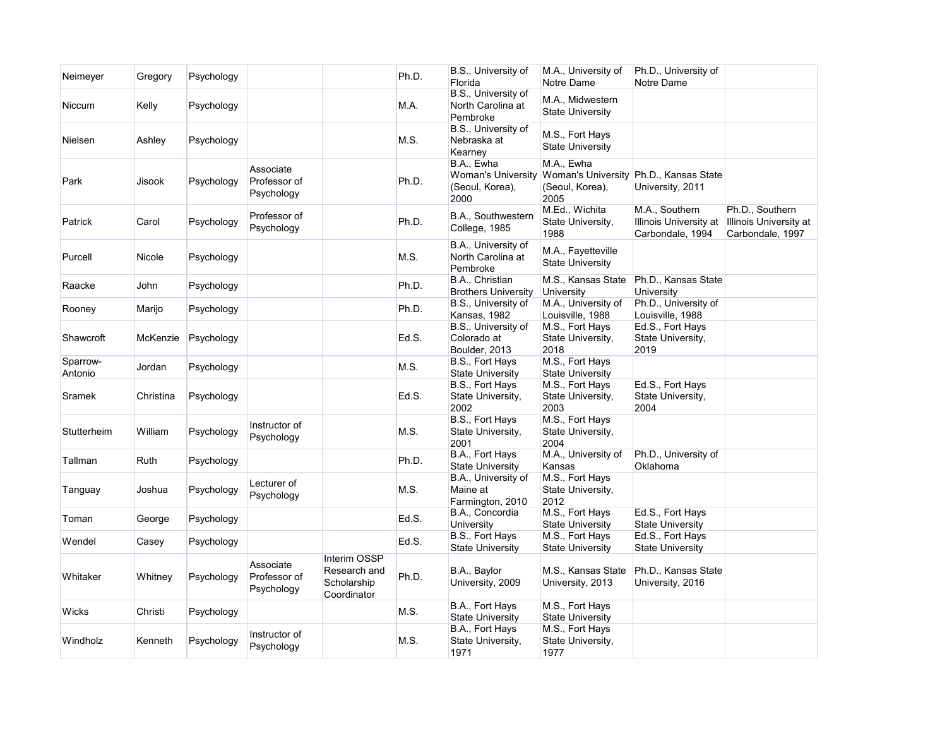

| Neimeyer            | Gregory   | Psychology |                                         |                                                            | Ph.D. | B.S., University of<br>Florida                                     | M.A., University of<br>Notre Dame             | Ph.D., University of<br>Notre Dame                           |  |
|---------------------|-----------|------------|-----------------------------------------|------------------------------------------------------------|-------|--------------------------------------------------------------------|-----------------------------------------------|--------------------------------------------------------------|--|
| <b>Niccum</b>       | Kelly     | Psychology |                                         |                                                            | M.A.  | B.S., University of<br>North Carolina at<br>Pembroke               | M.A., Midwestern<br><b>State University</b>   |                                                              |  |
| Nielsen             | Ashley    | Psychology |                                         |                                                            | M.S.  | B.S., University of<br>Nebraska at<br>Kearney                      | M.S., Fort Hays<br><b>State University</b>    |                                                              |  |
| Park                | Jisook    | Psychology | Associate<br>Professor of<br>Psychology |                                                            | Ph.D. | B.A., Ewha<br><b>Woman's University</b><br>(Seoul, Korea),<br>2000 | M.A., Ewha<br>(Seoul, Korea),<br>2005         | Woman's University Ph.D., Kansas State<br>University, 2011   |  |
| Patrick             | Carol     | Psychology | Professor of<br>Psychology              |                                                            | Ph.D. | B.A., Southwestern<br>College, 1985                                | M.Ed., Wichita<br>State University,<br>1988   | M.A., Southern<br>Illinois University at<br>Carbondale, 1994 |  |
| Purcell             | Nicole    | Psychology |                                         |                                                            | M.S.  | B.A., University of<br>North Carolina at<br>Pembroke               | M.A., Fayetteville<br><b>State University</b> |                                                              |  |
| Raacke              | John      | Psychology |                                         |                                                            | Ph.D. | B.A., Christian<br><b>Brothers University</b>                      | M.S., Kansas State<br><b>University</b>       | Ph.D., Kansas State<br><b>University</b>                     |  |
| Rooney              | Marijo    | Psychology |                                         |                                                            | Ph.D. | B.S., University of<br>Kansas, 1982                                | M.A., University of<br>Louisville, 1988       | Ph.D., University of<br>Louisville, 1988                     |  |
| Shawcroft           | McKenzie  | Psychology |                                         |                                                            | Ed.S. | B.S., University of<br>Colorado at<br>Boulder, 2013                | M.S., Fort Hays<br>State University,<br>2018  | Ed.S., Fort Hays<br>State University,<br>2019                |  |
| Sparrow-<br>Antonio | Jordan    | Psychology |                                         |                                                            | M.S.  | B.S., Fort Hays<br><b>State University</b>                         | M.S., Fort Hays<br><b>State University</b>    |                                                              |  |
| Sramek              | Christina | Psychology |                                         |                                                            | Ed.S. | B.S., Fort Hays<br>State University,<br>2002                       | M.S., Fort Hays<br>State University,<br>2003  | Ed.S., Fort Hays<br>State University,<br>2004                |  |
| Stutterheim         | William   | Psychology | Instructor of<br>Psychology             |                                                            | M.S.  | B.S., Fort Hays<br>State University,<br>2001                       | M.S., Fort Hays<br>State University,<br>2004  |                                                              |  |
| Tallman             | Ruth      | Psychology |                                         |                                                            | Ph.D. | B.A., Fort Hays<br><b>State University</b>                         | M.A., University of<br>Kansas                 | Ph.D., University of<br>Oklahoma                             |  |
| Tanguay             | Joshua    | Psychology | Lecturer of<br>Psychology               |                                                            | M.S.  | B.A., University of<br>Maine at<br>Farmington, 2010                | M.S., Fort Hays<br>State University,<br>2012  |                                                              |  |
| Toman               | George    | Psychology |                                         |                                                            | Ed.S. | B.A., Concordia<br>University                                      | M.S., Fort Hays<br><b>State University</b>    | Ed.S., Fort Hays<br><b>State University</b>                  |  |
| Wendel              | Casey     | Psychology |                                         |                                                            | Ed.S. | B.S., Fort Hays<br><b>State University</b>                         | M.S., Fort Hays<br><b>State University</b>    | Ed.S., Fort Hays<br><b>State University</b>                  |  |
| Whitaker            | Whitney   | Psychology | Associate<br>Professor of<br>Psychology | Interim OSSP<br>Research and<br>Scholarship<br>Coordinator | Ph.D. | B.A., Baylor<br>University, 2009                                   | M.S., Kansas State<br>University, 2013        | Ph.D., Kansas State<br>University, 2016                      |  |
| <b>Wicks</b>        | Christi   | Psychology |                                         |                                                            | M.S.  | B.A., Fort Hays<br><b>State University</b>                         | M.S., Fort Hays<br><b>State University</b>    |                                                              |  |
| Windholz            | Kenneth   | Psychology | Instructor of<br>Psychology             |                                                            | M.S.  | B.A., Fort Hays<br>State University,<br>1971                       | M.S., Fort Hays<br>State University,<br>1977  |                                                              |  |